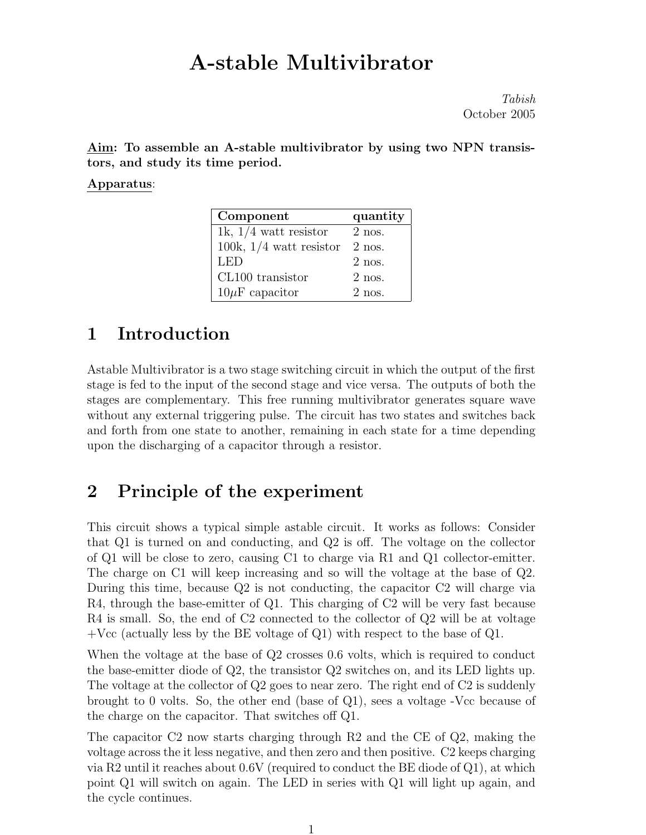# A-stable Multivibrator

Tabish October 2005

Aim: To assemble an A-stable multivibrator by using two NPN transistors, and study its time period.

Apparatus:

| Component                 | quantity |
|---------------------------|----------|
| 1k, $1/4$ watt resistor   | $2$ nos. |
| 100k, $1/4$ watt resistor | $2$ nos. |
| LED                       | $2$ nos. |
| CL100 transistor          | $2$ nos. |
| $10\mu$ F capacitor       | $2$ nos. |

### 1 Introduction

Astable Multivibrator is a two stage switching circuit in which the output of the first stage is fed to the input of the second stage and vice versa. The outputs of both the stages are complementary. This free running multivibrator generates square wave without any external triggering pulse. The circuit has two states and switches back and forth from one state to another, remaining in each state for a time depending upon the discharging of a capacitor through a resistor.

#### 2 Principle of the experiment

This circuit shows a typical simple astable circuit. It works as follows: Consider that Q1 is turned on and conducting, and Q2 is off. The voltage on the collector of Q1 will be close to zero, causing C1 to charge via R1 and Q1 collector-emitter. The charge on C1 will keep increasing and so will the voltage at the base of Q2. During this time, because Q2 is not conducting, the capacitor C2 will charge via R4, through the base-emitter of Q1. This charging of C2 will be very fast because R4 is small. So, the end of C2 connected to the collector of Q2 will be at voltage  $+{\rm Vec}$  (actually less by the BE voltage of Q1) with respect to the base of Q1.

When the voltage at the base of  $Q2$  crosses 0.6 volts, which is required to conduct the base-emitter diode of Q2, the transistor Q2 switches on, and its LED lights up. The voltage at the collector of Q2 goes to near zero. The right end of C2 is suddenly brought to 0 volts. So, the other end (base of  $Q_1$ ), sees a voltage -Vcc because of the charge on the capacitor. That switches off Q1.

The capacitor C2 now starts charging through R2 and the CE of Q2, making the voltage across the it less negative, and then zero and then positive. C2 keeps charging via R2 until it reaches about 0.6V (required to conduct the BE diode of Q1), at which point Q1 will switch on again. The LED in series with Q1 will light up again, and the cycle continues.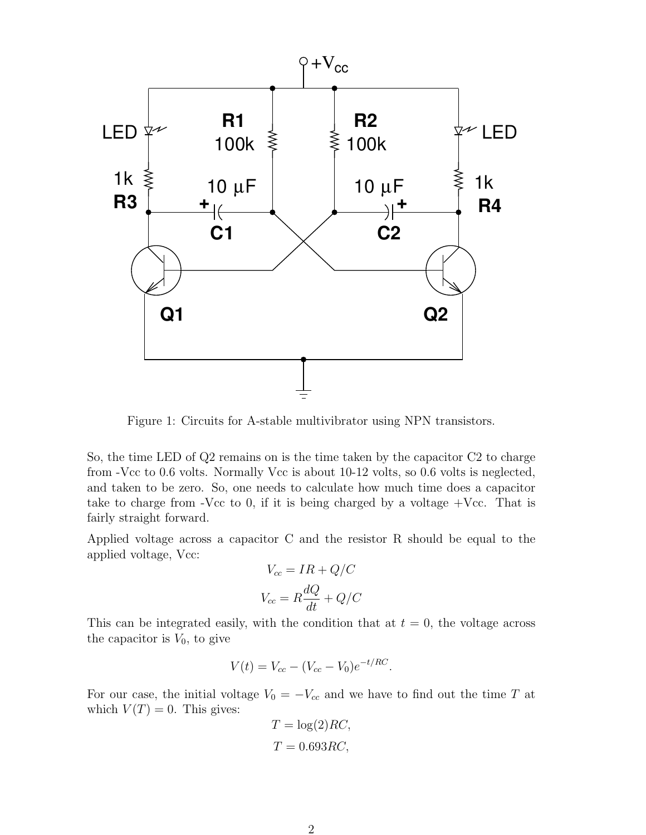

Figure 1: Circuits for A-stable multivibrator using NPN transistors.

So, the time LED of Q2 remains on is the time taken by the capacitor C2 to charge from -Vcc to 0.6 volts. Normally Vcc is about 10-12 volts, so 0.6 volts is neglected, and taken to be zero. So, one needs to calculate how much time does a capacitor take to charge from -Vcc to 0, if it is being charged by a voltage  $+$ Vcc. That is fairly straight forward.

Applied voltage across a capacitor C and the resistor R should be equal to the applied voltage, Vcc:

$$
V_{cc} = IR + Q/C
$$

$$
V_{cc} = R\frac{dQ}{dt} + Q/C
$$

This can be integrated easily, with the condition that at  $t = 0$ , the voltage across the capacitor is  $V_0$ , to give

$$
V(t) = V_{cc} - (V_{cc} - V_0)e^{-t/RC}.
$$

For our case, the initial voltage  $V_0 = -V_{cc}$  and we have to find out the time T at which  $V(T) = 0$ . This gives:

$$
T = \log(2)RC,
$$
  

$$
T = 0.693RC,
$$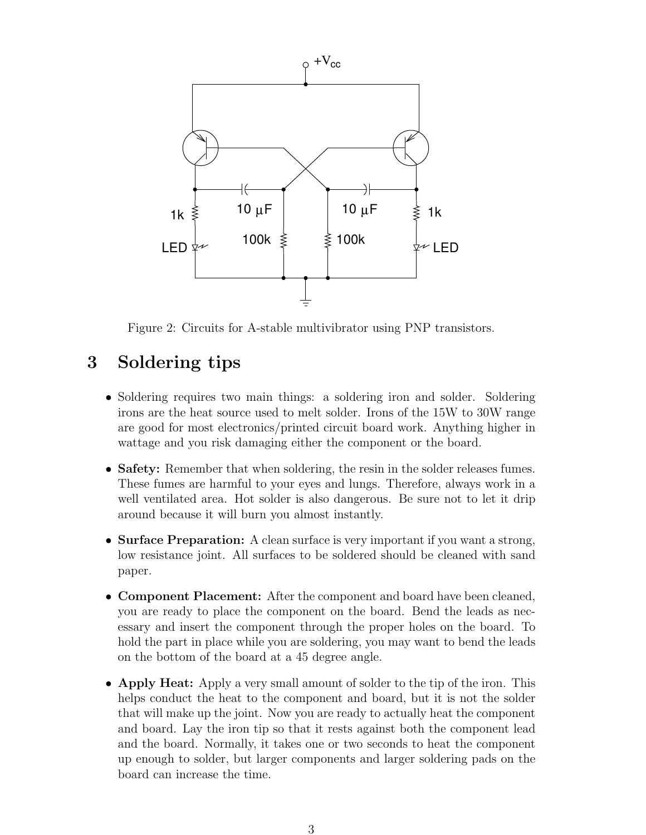

Figure 2: Circuits for A-stable multivibrator using PNP transistors.

## 3 Soldering tips

- Soldering requires two main things: a soldering iron and solder. Soldering irons are the heat source used to melt solder. Irons of the 15W to 30W range are good for most electronics/printed circuit board work. Anything higher in wattage and you risk damaging either the component or the board.
- Safety: Remember that when soldering, the resin in the solder releases fumes. These fumes are harmful to your eyes and lungs. Therefore, always work in a well ventilated area. Hot solder is also dangerous. Be sure not to let it drip around because it will burn you almost instantly.
- Surface Preparation: A clean surface is very important if you want a strong, low resistance joint. All surfaces to be soldered should be cleaned with sand paper.
- **Component Placement:** After the component and board have been cleaned, you are ready to place the component on the board. Bend the leads as necessary and insert the component through the proper holes on the board. To hold the part in place while you are soldering, you may want to bend the leads on the bottom of the board at a 45 degree angle.
- Apply Heat: Apply a very small amount of solder to the tip of the iron. This helps conduct the heat to the component and board, but it is not the solder that will make up the joint. Now you are ready to actually heat the component and board. Lay the iron tip so that it rests against both the component lead and the board. Normally, it takes one or two seconds to heat the component up enough to solder, but larger components and larger soldering pads on the board can increase the time.